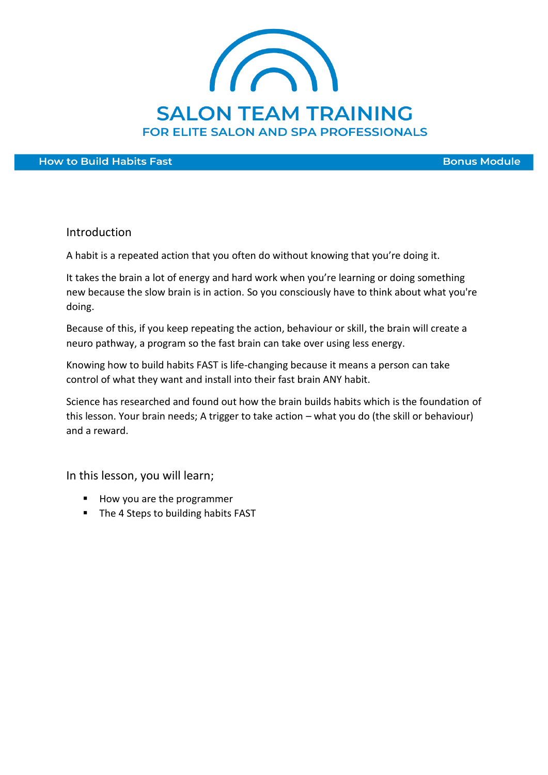

**How to Build Habits Fast** 

**Bonus Module** 

#### Introduction

A habit is a repeated action that you often do without knowing that you're doing it.

It takes the brain a lot of energy and hard work when you're learning or doing something new because the slow brain is in action. So you consciously have to think about what you're doing.

Because of this, if you keep repeating the action, behaviour or skill, the brain will create a neuro pathway, a program so the fast brain can take over using less energy.

Knowing how to build habits FAST is life-changing because it means a person can take control of what they want and install into their fast brain ANY habit.

Science has researched and found out how the brain builds habits which is the foundation of this lesson. Your brain needs; A trigger to take action – what you do (the skill or behaviour) and a reward.

In this lesson, you will learn;

- How you are the programmer
- The 4 Steps to building habits FAST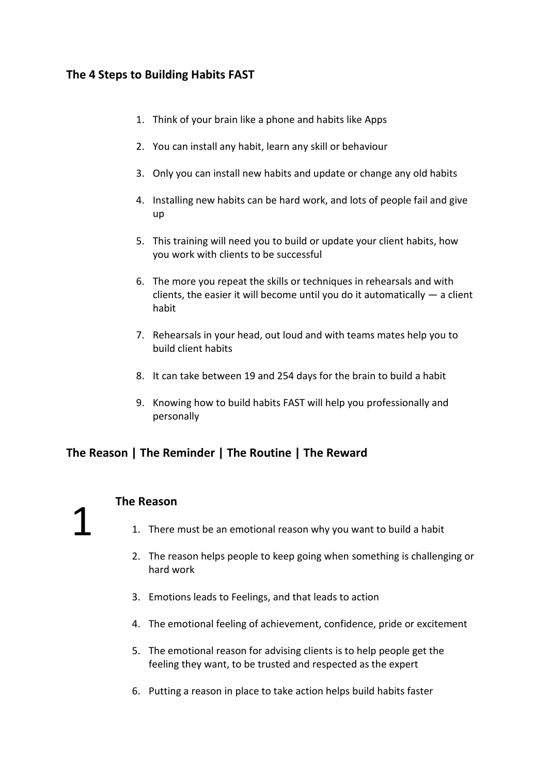## **The 4 Steps to Building Habits FAST**

- 1. Think of your brain like a phone and habits like Apps
- 2. You can install any habit, learn any skill or behaviour
- 3. Only you can install new habits and update or change any old habits
- 4. Installing new habits can be hard work, and lots of people fail and give up
- 5. This training will need you to build or update your client habits, how you work with clients to be successful
- 6. The more you repeat the skills or techniques in rehearsals and with clients, the easier it will become until you do it automatically  $-$  a client habit
- 7. Rehearsals in your head, out loud and with teams mates help you to build client habits
- 8. It can take between 19 and 254 days for the brain to build a habit
- 9. Knowing how to build habits FAST will help you professionally and personally

## **The Reason | The Reminder | The Routine | The Reward**

## **The Reason**

1

- 1. There must be an emotional reason why you want to build a habit
- 2. The reason helps people to keep going when something is challenging or hard work
- 3. Emotions leads to Feelings, and that leads to action
- 4. The emotional feeling of achievement, confidence, pride or excitement
- 5. The emotional reason for advising clients is to help people get the feeling they want, to be trusted and respected as the expert
- 6. Putting a reason in place to take action helps build habits faster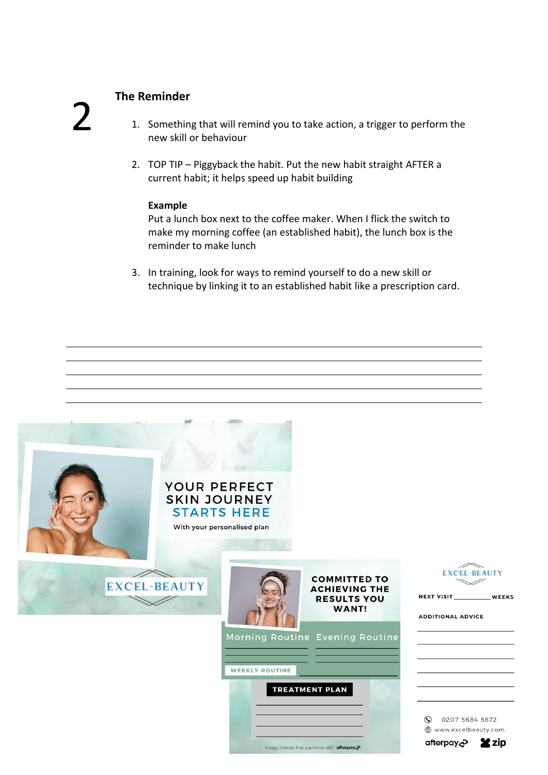# 2

# **The Reminder**

- 1. Something that will remind you to take action, a trigger to perform the new skill or behaviour
- 2. TOP TIP Piggyback the habit. Put the new habit straight AFTER a current habit; it helps speed up habit building

#### **Example**

Put a lunch box next to the coffee maker. When I flick the switch to make my morning coffee (an established habit), the lunch box is the reminder to make lunch

3. In training, look for ways to remind yourself to do a new skill or technique by linking it to an established habit like a prescription card.

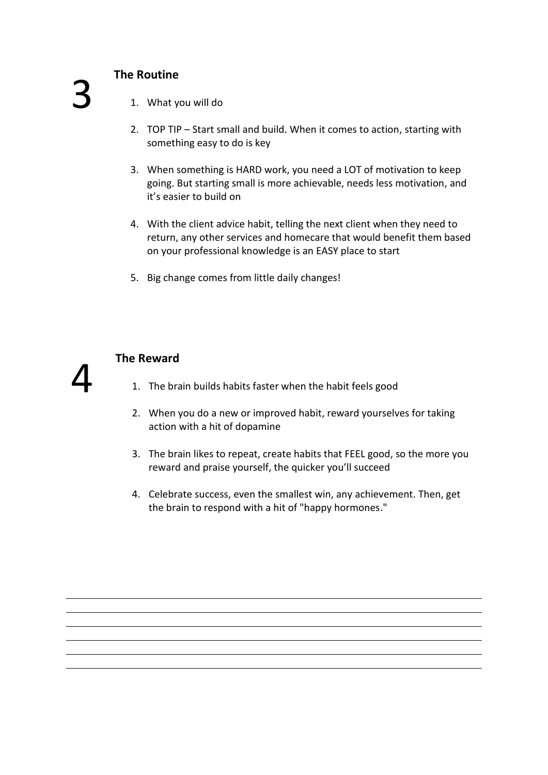# **The Routine**

- 1. What you will do
- 2. TOP TIP Start small and build. When it comes to action, starting with something easy to do is key
- 3. When something is HARD work, you need a LOT of motivation to keep going. But starting small is more achievable, needs less motivation, and it's easier to build on
- 4. With the client advice habit, telling the next client when they need to return, any other services and homecare that would benefit them based on your professional knowledge is an EASY place to start
- 5. Big change comes from little daily changes!



## **The Reward**

- 1. The brain builds habits faster when the habit feels good
- 2. When you do a new or improved habit, reward yourselves for taking action with a hit of dopamine
- 3. The brain likes to repeat, create habits that FEEL good, so the more you reward and praise yourself, the quicker you'll succeed
- 4. Celebrate success, even the smallest win, any achievement. Then, get the brain to respond with a hit of "happy hormones."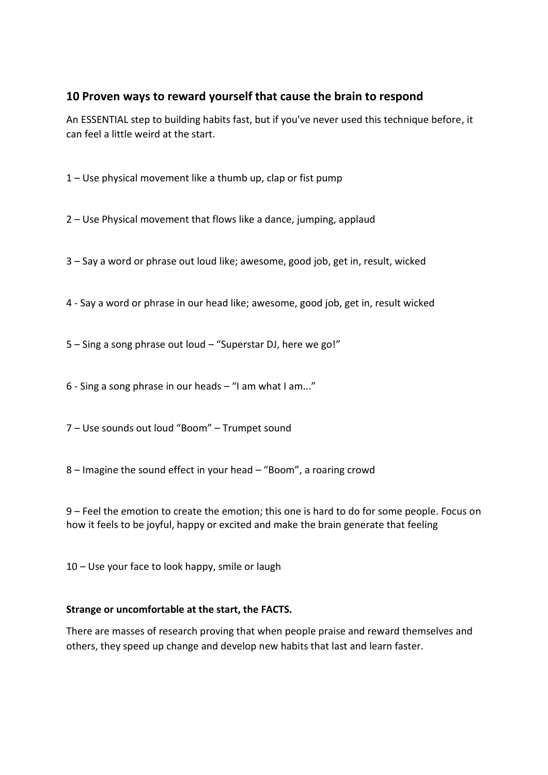## **10 Proven ways to reward yourself that cause the brain to respond**

An ESSENTIAL step to building habits fast, but if you've never used this technique before, it can feel a little weird at the start.

1 – Use physical movement like a thumb up, clap or fist pump

2 – Use Physical movement that flows like a dance, jumping, applaud

3 – Say a word or phrase out loud like; awesome, good job, get in, result, wicked

4 - Say a word or phrase in our head like; awesome, good job, get in, result wicked

5 – Sing a song phrase out loud – "Superstar DJ, here we go!"

6 - Sing a song phrase in our heads – "I am what I am..."

7 – Use sounds out loud "Boom" – Trumpet sound

8 – Imagine the sound effect in your head – "Boom", a roaring crowd

9 – Feel the emotion to create the emotion; this one is hard to do for some people. Focus on how it feels to be joyful, happy or excited and make the brain generate that feeling

10 – Use your face to look happy, smile or laugh

#### **Strange or uncomfortable at the start, the FACTS.**

There are masses of research proving that when people praise and reward themselves and others, they speed up change and develop new habits that last and learn faster.